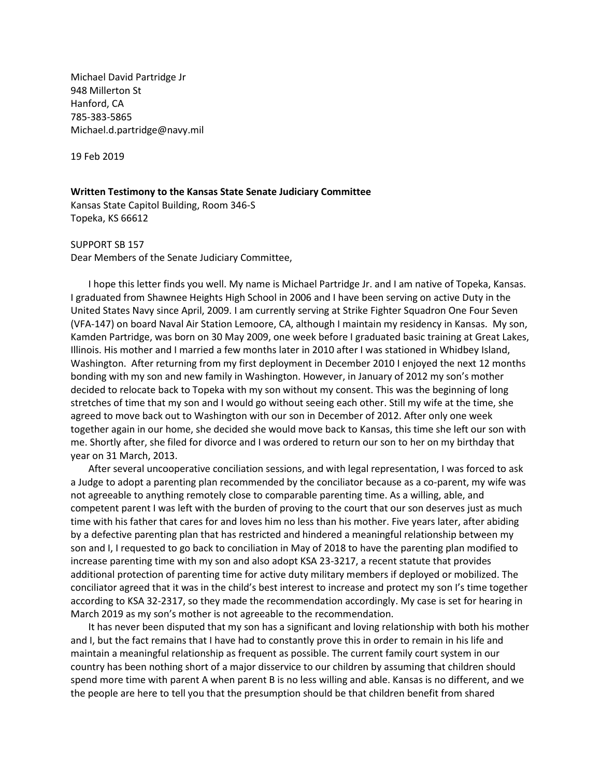Michael David Partridge Jr 948 Millerton St Hanford, CA 785-383-5865 Michael.d.partridge@navy.mil

19 Feb 2019

## **Written Testimony to the Kansas State Senate Judiciary Committee**

Kansas State Capitol Building, Room 346-S Topeka, KS 66612

SUPPORT SB 157 Dear Members of the Senate Judiciary Committee,

I hope this letter finds you well. My name is Michael Partridge Jr. and I am native of Topeka, Kansas. I graduated from Shawnee Heights High School in 2006 and I have been serving on active Duty in the United States Navy since April, 2009. I am currently serving at Strike Fighter Squadron One Four Seven (VFA-147) on board Naval Air Station Lemoore, CA, although I maintain my residency in Kansas. My son, Kamden Partridge, was born on 30 May 2009, one week before I graduated basic training at Great Lakes, Illinois. His mother and I married a few months later in 2010 after I was stationed in Whidbey Island, Washington. After returning from my first deployment in December 2010 I enjoyed the next 12 months bonding with my son and new family in Washington. However, in January of 2012 my son's mother decided to relocate back to Topeka with my son without my consent. This was the beginning of long stretches of time that my son and I would go without seeing each other. Still my wife at the time, she agreed to move back out to Washington with our son in December of 2012. After only one week together again in our home, she decided she would move back to Kansas, this time she left our son with me. Shortly after, she filed for divorce and I was ordered to return our son to her on my birthday that year on 31 March, 2013.

After several uncooperative conciliation sessions, and with legal representation, I was forced to ask a Judge to adopt a parenting plan recommended by the conciliator because as a co-parent, my wife was not agreeable to anything remotely close to comparable parenting time. As a willing, able, and competent parent I was left with the burden of proving to the court that our son deserves just as much time with his father that cares for and loves him no less than his mother. Five years later, after abiding by a defective parenting plan that has restricted and hindered a meaningful relationship between my son and I, I requested to go back to conciliation in May of 2018 to have the parenting plan modified to increase parenting time with my son and also adopt KSA 23-3217, a recent statute that provides additional protection of parenting time for active duty military members if deployed or mobilized. The conciliator agreed that it was in the child's best interest to increase and protect my son I's time together according to KSA 32-2317, so they made the recommendation accordingly. My case is set for hearing in March 2019 as my son's mother is not agreeable to the recommendation.

It has never been disputed that my son has a significant and loving relationship with both his mother and I, but the fact remains that I have had to constantly prove this in order to remain in his life and maintain a meaningful relationship as frequent as possible. The current family court system in our country has been nothing short of a major disservice to our children by assuming that children should spend more time with parent A when parent B is no less willing and able. Kansas is no different, and we the people are here to tell you that the presumption should be that children benefit from shared